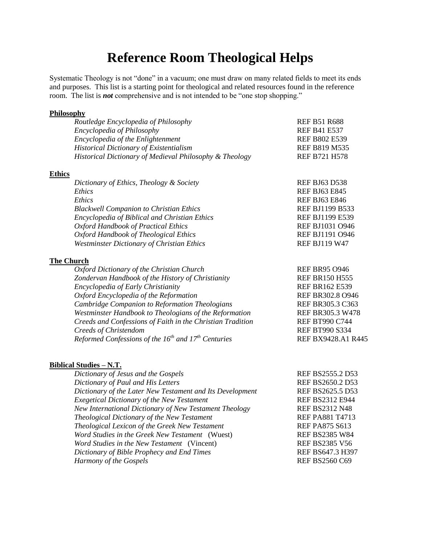# **Reference Room Theological Helps**

Systematic Theology is not "done" in a vacuum; one must draw on many related fields to meet its ends and purposes. This list is a starting point for theological and related resources found in the reference room. The list is *not* comprehensive and is not intended to be "one stop shopping."

## **Philosophy**

|                   | Routledge Encyclopedia of Philosophy                          | <b>REF B51 R688</b>     |
|-------------------|---------------------------------------------------------------|-------------------------|
|                   | Encyclopedia of Philosophy                                    | <b>REF B41 E537</b>     |
|                   | Encyclopedia of the Enlightenment                             | <b>REF B802 E539</b>    |
|                   | <b>Historical Dictionary of Existentialism</b>                | <b>REF B819 M535</b>    |
|                   | Historical Dictionary of Medieval Philosophy & Theology       | <b>REF B721 H578</b>    |
| <b>Ethics</b>     |                                                               |                         |
|                   | Dictionary of Ethics, Theology & Society                      | <b>REF BJ63 D538</b>    |
|                   | Ethics                                                        | <b>REF BJ63 E845</b>    |
|                   | Ethics                                                        | <b>REF BJ63 E846</b>    |
|                   | <b>Blackwell Companion to Christian Ethics</b>                | <b>REF BJ1199 B533</b>  |
|                   | Encyclopedia of Biblical and Christian Ethics                 | <b>REF BJ1199 E539</b>  |
|                   | <b>Oxford Handbook of Practical Ethics</b>                    | REF BJ1031 O946         |
|                   | Oxford Handbook of Theological Ethics                         | REF BJ1191 O946         |
|                   | <b>Westminster Dictionary of Christian Ethics</b>             | <b>REF BJ119 W47</b>    |
| <b>The Church</b> |                                                               |                         |
|                   | Oxford Dictionary of the Christian Church                     | <b>REF BR95 O946</b>    |
|                   | Zondervan Handbook of the History of Christianity             | <b>REF BR150 H555</b>   |
|                   | <b>Encyclopedia of Early Christianity</b>                     | <b>REF BR162 E539</b>   |
|                   | Oxford Encyclopedia of the Reformation                        | REF BR302.8 O946        |
|                   | Cambridge Companion to Reformation Theologians                | REF BR305.3 C363        |
|                   | Westminster Handbook to Theologians of the Reformation        | <b>REF BR305.3 W478</b> |
|                   | Creeds and Confessions of Faith in the Christian Tradition    | <b>REF BT990 C744</b>   |
|                   | Creeds of Christendom                                         | <b>REF BT990 S334</b>   |
|                   | Reformed Confessions of the $16^{th}$ and $17^{th}$ Centuries | REF BX9428.A1 R445      |
|                   |                                                               |                         |

#### **Biblical Studies – N.T.**

*Dictionary of Jesus and the Gospels* REF BS2555.2 D53 *Dictionary of Paul and His Letters* REF BS2650.2 D53 *Dictionary of the Later New Testament and Its Development* REF BS2625.5 D53 *Exegetical Dictionary of the New Testament* REF BS2312 E944 *New International Dictionary of New Testament Theology* REF BS2312 N48 *Theological Dictionary of the New Testament* REF PA881 T4713 *Theological Lexicon of the Greek New Testament* REF PA875 S613 *Word Studies in the Greek New Testament* (Wuest) REF BS2385 W84 *Word Studies in the New Testament* (Vincent) REF BS2385 V56 *Dictionary of Bible Prophecy and End Times* REF BS647.3 H397 *Harmony of the Gospels* REF BS2560 C69